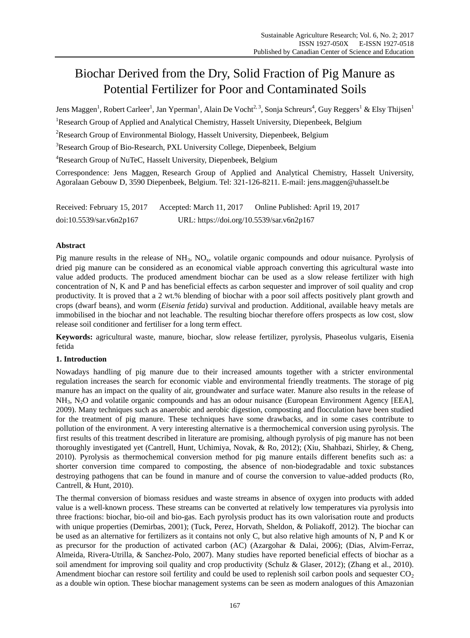# Biochar Derived from the Dry, Solid Fraction of Pig Manure as Potential Fertilizer for Poor and Contaminated Soils

Jens Maggen<sup>1</sup>, Robert Carleer<sup>1</sup>, Jan Yperman<sup>1</sup>, Alain De Vocht<sup>2, 3</sup>, Sonja Schreurs<sup>4</sup>, Guy Reggers<sup>1</sup> & Elsy Thijsen<sup>1</sup>

<sup>1</sup>Research Group of Applied and Analytical Chemistry, Hasselt University, Diepenbeek, Belgium

<sup>2</sup>Research Group of Environmental Biology, Hasselt University, Diepenbeek, Belgium

<sup>3</sup>Research Group of Bio-Research, PXL University College, Diepenbeek, Belgium

<sup>4</sup>Research Group of NuTeC, Hasselt University, Diepenbeek, Belgium

Correspondence: Jens Maggen, Research Group of Applied and Analytical Chemistry, Hasselt University, Agoralaan Gebouw D, 3590 Diepenbeek, Belgium. Tel: 321-126-8211. E-mail: jens.maggen@uhasselt.be

Received: February 15, 2017 Accepted: March 11, 2017 Online Published: April 19, 2017 doi:10.5539/sar.v6n2p167 URL: https://doi.org/10.5539/sar.v6n2p167

# **Abstract**

Pig manure results in the release of  $NH_3$ ,  $NO_x$ , volatile organic compounds and odour nuisance. Pyrolysis of dried pig manure can be considered as an economical viable approach converting this agricultural waste into value added products. The produced amendment biochar can be used as a slow release fertilizer with high concentration of N, K and P and has beneficial effects as carbon sequester and improver of soil quality and crop productivity. It is proved that a 2 wt.% blending of biochar with a poor soil affects positively plant growth and crops (dwarf beans), and worm (*Eisenia fetida*) survival and production. Additional, available heavy metals are immobilised in the biochar and not leachable. The resulting biochar therefore offers prospects as low cost, slow release soil conditioner and fertiliser for a long term effect.

**Keywords:** agricultural waste, manure, biochar, slow release fertilizer, pyrolysis, Phaseolus vulgaris, Eisenia fetida

# **1. Introduction**

Nowadays handling of pig manure due to their increased amounts together with a stricter environmental regulation increases the search for economic viable and environmental friendly treatments. The storage of pig manure has an impact on the quality of air, groundwater and surface water. Manure also results in the release of NH3, N2O and volatile organic compounds and has an odour nuisance (European Environment Agency [EEA], 2009). Many techniques such as anaerobic and aerobic digestion, composting and flocculation have been studied for the treatment of pig manure. These techniques have some drawbacks, and in some cases contribute to pollution of the environment. A very interesting alternative is a thermochemical conversion using pyrolysis. The first results of this treatment described in literature are promising, although pyrolysis of pig manure has not been thoroughly investigated yet (Cantrell, Hunt, Uchimiya, Novak, & Ro, 2012); (Xiu, Shahbazi, Shirley, & Cheng, 2010). Pyrolysis as thermochemical conversion method for pig manure entails different benefits such as: a shorter conversion time compared to composting, the absence of non-biodegradable and toxic substances destroying pathogens that can be found in manure and of course the conversion to value-added products (Ro, Cantrell, & Hunt, 2010).

The thermal conversion of biomass residues and waste streams in absence of oxygen into products with added value is a well-known process. These streams can be converted at relatively low temperatures via pyrolysis into three fractions: biochar, bio-oil and bio-gas. Each pyrolysis product has its own valorisation route and products with unique properties (Demirbas, 2001); (Tuck, Perez, Horvath, Sheldon, & Poliakoff, 2012). The biochar can be used as an alternative for fertilizers as it contains not only C, but also relative high amounts of N, P and K or as precursor for the production of activated carbon (AC) (Azargohar & Dalai, 2006); (Dias, Alvim-Ferraz, Almeida, Rivera-Utrilla, & Sanchez-Polo, 2007). Many studies have reported beneficial effects of biochar as a soil amendment for improving soil quality and crop productivity (Schulz & Glaser, 2012); (Zhang et al., 2010). Amendment biochar can restore soil fertility and could be used to replenish soil carbon pools and sequester  $CO<sub>2</sub>$ as a double win option. These biochar management systems can be seen as modern analogues of this Amazonian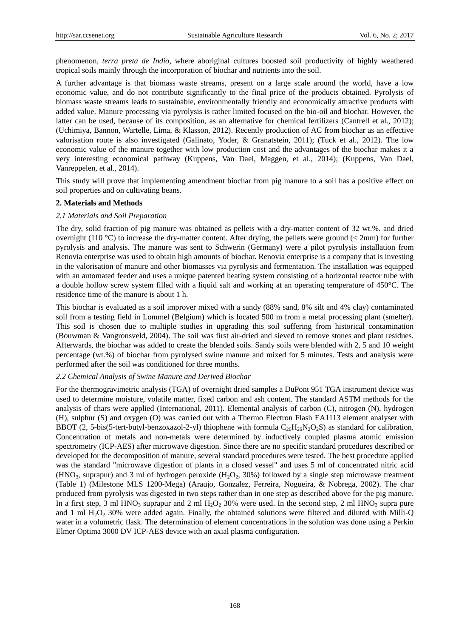phenomenon, *terra preta de Indio*, where aboriginal cultures boosted soil productivity of highly weathered tropical soils mainly through the incorporation of biochar and nutrients into the soil.

A further advantage is that biomass waste streams, present on a large scale around the world, have a low economic value, and do not contribute significantly to the final price of the products obtained. Pyrolysis of biomass waste streams leads to sustainable, environmentally friendly and economically attractive products with added value. Manure processing via pyrolysis is rather limited focused on the bio-oil and biochar. However, the latter can be used, because of its composition, as an alternative for chemical fertilizers (Cantrell et al., 2012); (Uchimiya, Bannon, Wartelle, Lima, & Klasson, 2012). Recently production of AC from biochar as an effective valorisation route is also investigated (Galinato, Yoder, & Granatstein, 2011); (Tuck et al., 2012). The low economic value of the manure together with low production cost and the advantages of the biochar makes it a very interesting economical pathway (Kuppens, Van Dael, Maggen, et al., 2014); (Kuppens, Van Dael, Vanreppelen, et al., 2014).

This study will prove that implementing amendment biochar from pig manure to a soil has a positive effect on soil properties and on cultivating beans.

#### **2. Materials and Methods**

#### *2.1 Materials and Soil Preparation*

The dry, solid fraction of pig manure was obtained as pellets with a dry-matter content of 32 wt.%. and dried overnight (110 °C) to increase the dry-matter content. After drying, the pellets were ground ( $\lt$  2mm) for further pyrolysis and analysis. The manure was sent to Schwerin (Germany) were a pilot pyrolysis installation from Renovia enterprise was used to obtain high amounts of biochar. Renovia enterprise is a company that is investing in the valorisation of manure and other biomasses via pyrolysis and fermentation. The installation was equipped with an automated feeder and uses a unique patented heating system consisting of a horizontal reactor tube with a double hollow screw system filled with a liquid salt and working at an operating temperature of 450°C. The residence time of the manure is about 1 h.

This biochar is evaluated as a soil improver mixed with a sandy (88% sand, 8% silt and 4% clay) contaminated soil from a testing field in Lommel (Belgium) which is located 500 m from a metal processing plant (smelter). This soil is chosen due to multiple studies in upgrading this soil suffering from historical contamination (Bouwman & Vangronsveld, 2004). The soil was first air-dried and sieved to remove stones and plant residues. Afterwards, the biochar was added to create the blended soils. Sandy soils were blended with 2, 5 and 10 weight percentage (wt.%) of biochar from pyrolysed swine manure and mixed for 5 minutes. Tests and analysis were performed after the soil was conditioned for three months.

#### *2.2 Chemical Analysis of Swine Manure and Derived Biochar*

For the thermogravimetric analysis (TGA) of overnight dried samples a DuPont 951 TGA instrument device was used to determine moisture, volatile matter, fixed carbon and ash content. The standard ASTM methods for the analysis of chars were applied (International, 2011). Elemental analysis of carbon (C), nitrogen (N), hydrogen (H), sulphur (S) and oxygen (O) was carried out with a Thermo Electron Flash EA1113 element analyser with BBOT (2, 5-bis(5-tert-butyl-benzoxazol-2-yl) thiophene with formula  $C_{26}H_{26}N_2O_2S$ ) as standard for calibration. Concentration of metals and non-metals were determined by inductively coupled plasma atomic emission spectrometry (ICP-AES) after microwave digestion. Since there are no specific standard procedures described or developed for the decomposition of manure, several standard procedures were tested. The best procedure applied was the standard "microwave digestion of plants in a closed vessel" and uses 5 ml of concentrated nitric acid (HNO<sub>3</sub>, suprapur) and 3 ml of hydrogen peroxide (H<sub>2</sub>O<sub>2</sub>, 30%) followed by a single step microwave treatment (Table 1) (Milestone MLS 1200-Mega) (Araujo, Gonzalez, Ferreira, Nogueira, & Nobrega, 2002). The char produced from pyrolysis was digested in two steps rather than in one step as described above for the pig manure. In a first step, 3 ml HNO<sub>3</sub> suprapur and 2 ml H<sub>2</sub>O<sub>2</sub> 30% were used. In the second step, 2 ml HNO<sub>3</sub> supra pure and 1 ml H<sub>2</sub>O<sub>2</sub> 30% were added again. Finally, the obtained solutions were filtered and diluted with Milli-Q water in a volumetric flask. The determination of element concentrations in the solution was done using a Perkin Elmer Optima 3000 DV ICP-AES device with an axial plasma configuration.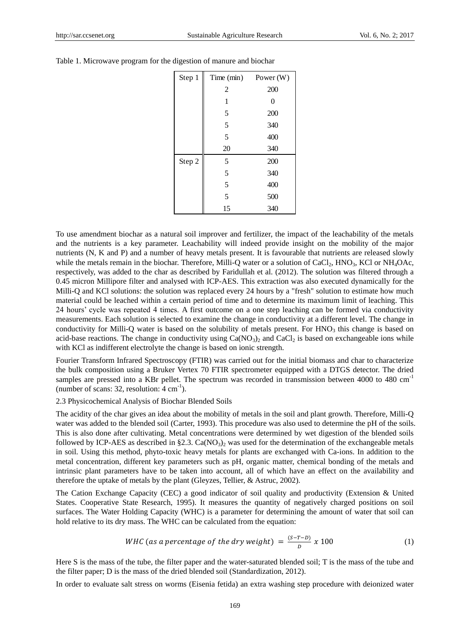| Step 1 |    | Time $(min)$ Power $(W)$ |
|--------|----|--------------------------|
|        | 2  | 200                      |
|        | 1  | $\overline{0}$           |
|        | 5  | 200                      |
|        | 5  | 340                      |
|        | 5  | 400                      |
|        | 20 | 340                      |
| Step 2 | 5  | 200                      |
|        | 5  | 340                      |
|        | 5  | 400                      |
|        | 5  | 500                      |
|        | 15 | 340                      |

| Table 1. Microwave program for the digestion of manure and biochar |  |  |
|--------------------------------------------------------------------|--|--|
|                                                                    |  |  |

To use amendment biochar as a natural soil improver and fertilizer, the impact of the leachability of the metals and the nutrients is a key parameter. Leachability will indeed provide insight on the mobility of the major nutrients (N, K and P) and a number of heavy metals present. It is favourable that nutrients are released slowly while the metals remain in the biochar. Therefore, Milli-Q water or a solution of  $CaCl<sub>2</sub>$ , HNO<sub>3</sub>, KCl or NH<sub>4</sub>OAc, respectively, was added to the char as described by Faridullah et al. (2012). The solution was filtered through a 0.45 micron Millipore filter and analysed with ICP-AES. This extraction was also executed dynamically for the Milli-Q and KCl solutions: the solution was replaced every 24 hours by a "fresh" solution to estimate how much material could be leached within a certain period of time and to determine its maximum limit of leaching. This 24 hours' cycle was repeated 4 times. A first outcome on a one step leaching can be formed via conductivity measurements. Each solution is selected to examine the change in conductivity at a different level. The change in conductivity for Milli-Q water is based on the solubility of metals present. For  $HNO<sub>3</sub>$  this change is based on acid-base reactions. The change in conductivity using  $Ca(NO<sub>3</sub>)<sub>2</sub>$  and  $CaCl<sub>2</sub>$  is based on exchangeable ions while with KCl as indifferent electrolyte the change is based on ionic strength. Step 1 Time into  $\frac{1}{2}$  200 1<br>
1 or 200 1<br>
1 or 200 1<br>
1 or 200 1<br>
1 or 200 1<br>
1 or 200 1<br>
1 or 200 1<br>
1 or 200 1<br>
1 or 200 1<br>
1 or 200 1<br>
1 or 200 1<br>
1 or 200 1<br>
1 or 200 1<br>
1 or 200 parameter. Leadinful yiel independ

Fourier Transform Infrared Spectroscopy (FTIR) was carried out for the initial biomass and char to characterize the bulk composition using a Bruker Vertex 70 FTIR spectrometer equipped with a DTGS detector. The dried samples are pressed into a KBr pellet. The spectrum was recorded in transmission between 4000 to 480 cm<sup>-1</sup> (number of scans: 32, resolution:  $4 \text{ cm}^{-1}$ ).

#### 2.3 Physicochemical Analysis of Biochar Blended Soils

The acidity of the char gives an idea about the mobility of metals in the soil and plant growth. Therefore, Milli-Q water was added to the blended soil (Carter, 1993). This procedure was also used to determine the pH of the soils. This is also done after cultivating. Metal concentrations were determined by wet digestion of the blended soils followed by ICP-AES as described in §2.3. Ca(NO<sub>3</sub>)<sub>2</sub> was used for the determination of the exchangeable metals in soil. Using this method, phyto-toxic heavy metals for plants are exchanged with Ca-ions. In addition to the metal concentration, different key parameters such as pH, organic matter, chemical bonding of the metals and intrinsic plant parameters have to be taken into account, all of which have an effect on the availability and therefore the uptake of metals by the plant (Gleyzes, Tellier, & Astruc, 2002).

The Cation Exchange Capacity (CEC) a good indicator of soil quality and productivity (Extension & United States. Cooperative State Research, 1995). It measures the quantity of negatively charged positions on soil surfaces. The Water Holding Capacity (WHC) is a parameter for determining the amount of water that soil can hold relative to its dry mass. The WHC can be calculated from the equation:

*WHC* (as a percentage of the dry weight) = 
$$
\frac{(S-T-D)}{D} \times 100
$$
 (1)

Here S is the mass of the tube, the filter paper and the water-saturated blended soil; T is the mass of the tube and the filter paper; D is the mass of the dried blended soil (Standardization, 2012).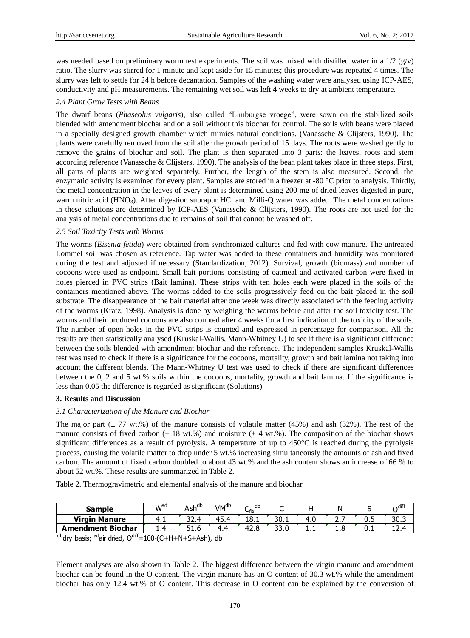was needed based on preliminary worm test experiments. The soil was mixed with distilled water in a  $1/2$  (g/v) ratio. The slurry was stirred for 1 minute and kept aside for 15 minutes; this procedure was repeated 4 times. The slurry was left to settle for 24 h before decantation. Samples of the washing water were analysed using ICP-AES, conductivity and pH measurements. The remaining wet soil was left 4 weeks to dry at ambient temperature.

# *2.4 Plant Grow Tests with Beans*

The dwarf beans (*Phaseolus vulgaris*), also called "Limburgse vroege", were sown on the stabilized soils blended with amendment biochar and on a soil without this biochar for control. The soils with beans were placed in a specially designed growth chamber which mimics natural conditions. (Vanassche & Clijsters, 1990). The plants were carefully removed from the soil after the growth period of 15 days. The roots were washed gently to remove the grains of biochar and soil. The plant is then separated into 3 parts: the leaves, roots and stem according reference (Vanassche & Clijsters, 1990). The analysis of the bean plant takes place in three steps. First, all parts of plants are weighted separately. Further, the length of the stem is also measured. Second, the enzymatic activity is examined for every plant. Samples are stored in a freezer at -80  $\degree$ C prior to analysis. Thirdly, the metal concentration in the leaves of every plant is determined using 200 mg of dried leaves digested in pure, warm nitric acid (HNO<sub>3</sub>). After digestion suprapur HCl and Milli-Q water was added. The metal concentrations in these solutions are determined by ICP-AES (Vanassche & Clijsters, 1990). The roots are not used for the analysis of metal concentrations due to remains of soil that cannot be washed off.

#### *2.5 Soil Toxicity Tests with Worms*

The worms (*Eisenia fetida*) were obtained from synchronized cultures and fed with cow manure. The untreated Lommel soil was chosen as reference. Tap water was added to these containers and humidity was monitored during the test and adjusted if necessary (Standardization, 2012). Survival, growth (biomass) and number of cocoons were used as endpoint. Small bait portions consisting of oatmeal and activated carbon were fixed in holes pierced in PVC strips (Bait lamina). These strips with ten holes each were placed in the soils of the containers mentioned above. The worms added to the soils progressively feed on the bait placed in the soil substrate. The disappearance of the bait material after one week was directly associated with the feeding activity of the worms (Kratz, 1998). Analysis is done by weighing the worms before and after the soil toxicity test. The worms and their produced cocoons are also counted after 4 weeks for a first indication of the toxicity of the soils. The number of open holes in the PVC strips is counted and expressed in percentage for comparison. All the results are then statistically analysed (Kruskal-Wallis, Mann-Whitney U) to see if there is a significant difference between the soils blended with amendment biochar and the reference. The independent samples Kruskal-Wallis test was used to check if there is a significance for the cocoons, mortality, growth and bait lamina not taking into account the different blends. The Mann-Whitney U test was used to check if there are significant differences between the 0, 2 and 5 wt.% soils within the cocoons, mortality, growth and bait lamina. If the significance is less than 0.05 the difference is regarded as significant (Solutions)

# **3. Results and Discussion**

#### *3.1 Characterization of the Manure and Biochar*

The major part ( $\pm$  77 wt.%) of the manure consists of volatile matter (45%) and ash (32%). The rest of the manure consists of fixed carbon ( $\pm$  18 wt.%) and moisture ( $\pm$  4 wt.%). The composition of the biochar shows significant differences as a result of pyrolysis. A temperature of up to  $450 \, \text{°C}$  is reached during the pyrolysis process, causing the volatile matter to drop under 5 wt.% increasing simultaneously the amounts of ash and fixed carbon. The amount of fixed carbon doubled to about 43 wt.% and the ash content shows an increase of 66 % to about 52 wt.%. These results are summarized in Table 2.

Table 2. Thermogravimetric and elemental analysis of the manure and biochar

| <b>Sample</b>                                                                                              | W <sup>ad</sup> | $\mathsf{Ash}^{\mathsf{db}}$ | VM <sup>db</sup> | $C_{\sf fix}^{\sf db}$ |      |     |     |     | O <sup>diff</sup> |
|------------------------------------------------------------------------------------------------------------|-----------------|------------------------------|------------------|------------------------|------|-----|-----|-----|-------------------|
| <b>Virgin Manure</b>                                                                                       | 4.1             | 32.4                         | 45.4             | 18.1                   | 30.1 | 4.0 |     | 0.5 | 30.3              |
| <b>Amendment Biochar</b>                                                                                   | 1.4             | 51.6                         | 4.4              | 42.8                   | 33.0 |     | l.8 | 0.1 | 12.4              |
| <sup>db</sup> dry basis; <sup>ad</sup> air dried, $O^{diff}$ =100-(C+H+N+S+Ash), db                        |                 |                              |                  |                        |      |     |     |     |                   |
|                                                                                                            |                 |                              |                  |                        |      |     |     |     |                   |
|                                                                                                            |                 |                              |                  |                        |      |     |     |     |                   |
| Element analyses are also shown in Table 2. The biggest difference between the virgin manure and amendment |                 |                              |                  |                        |      |     |     |     |                   |
| biochar can be found in the O content. The virgin manure has an O content of 30.3 wt.% while the amendment |                 |                              |                  |                        |      |     |     |     |                   |
| biochar has only 12.4 wt.% of O content. This decrease in O content can be explained by the conversion of  |                 |                              |                  |                        |      |     |     |     |                   |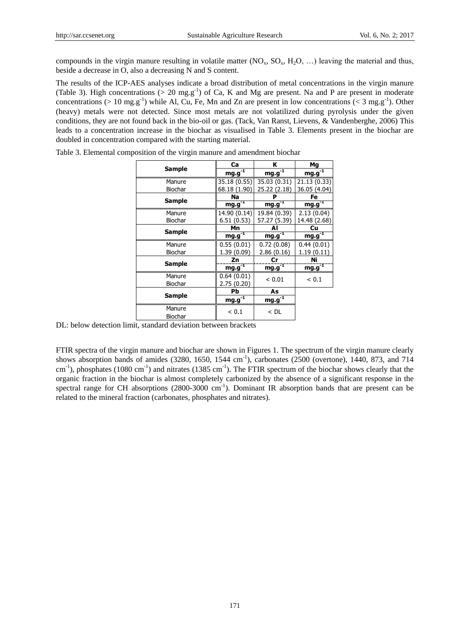compounds in the virgin manure resulting in volatile matter  $(NO_x, SO_x, H_2O, ...)$  leaving the material and thus, beside a decrease in O, also a decreasing N and S content.

The results of the ICP-AES analyses indicate a broad distribution of metal concentrations in the virgin manure (Table 3). High concentrations ( $> 20$  mg.g<sup>-1</sup>) of Ca, K and Mg are present. Na and P are present in moderate concentrations ( $> 10$  mg.g<sup>-1</sup>) while Al, Cu, Fe, Mn and Zn are present in low concentrations ( $< 3$  mg.g<sup>-1</sup>). Other (heavy) metals were not detected. Since most metals are not volatilized during pyrolysis under the given conditions, they are not found back in the bio-oil or gas. (Tack, Van Ranst, Lievens, & Vandenberghe, 2006) This leads to a concentration increase in the biochar as visualised in Table 3. Elements present in the biochar are doubled in concentration compared with the starting material.

|                | Ca                | ĸ                 | Mq                |  |
|----------------|-------------------|-------------------|-------------------|--|
| <b>Sample</b>  | $mg.g-1$          | $mg.g-1$          | $mg.g^{-1}$       |  |
| Manure         | 35.18 (0.55)      | 35.03 (0.31)      | 21.13 (0.33)      |  |
| Biochar        | 68.18 (1.90)      | 25.22 (2.18)      | 36.05 (4.04)      |  |
|                | <b>Na</b>         | Р                 | Fe                |  |
| Sample         | $mg.g-T$          | mg.g <sup>T</sup> | mg.g <sup>T</sup> |  |
| Manure         | 14.90 (0.14)      | 19.84 (0.39)      | 2.13(0.04)        |  |
| Biochar        | 6.51(0.53)        | 57.27 (5.39)      | 14.48 (2.68)      |  |
|                | Mn                | Al                | <b>Cu</b>         |  |
| Sample         | $mg.g-T$          | mg.g <sup>T</sup> | mg.g <sup>T</sup> |  |
| Manure         | 0.55(0.01)        | 0.72(0.08)        | 0.44(0.01)        |  |
| <b>Biochar</b> | 1.39 (0.09)       | 2.86(0.16)        | 1.19(0.11)        |  |
|                | Zn                | Cr                | Ni                |  |
| Sample         | $mg \cdot g^{-1}$ | $mg.g^{-1}$       | $mg.g-T$          |  |
| Manure         | 0.64(0.01)        | ${}< 0.01$        | ${}< 0.1$         |  |
| <b>Biochar</b> | 2.75 (0.20)       |                   |                   |  |
|                | Рb                | As                |                   |  |
| Sample         | $mg.g^{-1}$       | $mg.g^{-1}$       |                   |  |
| Manure         | ${}< 0.1$         | $<$ DL            |                   |  |
| Biochar        |                   |                   |                   |  |

Table 3. Elemental composition of the virgin manure and amendment biochar

DL: below detection limit, standard deviation between brackets

FTIR spectra of the virgin manure and biochar are shown in Figures 1. The spectrum of the virgin manure clearly shows absorption bands of amides (3280, 1650, 1544 cm<sup>-1</sup>), carbonates (2500 (overtone), 1440, 873, and 714  $\text{cm}^{-1}$ ), phosphates (1080 cm<sup>-1</sup>) and nitrates (1385 cm<sup>-1</sup>). The FTIR spectrum of the biochar shows clearly that the organic fraction in the biochar is almost completely carbonized by the absence of a significant response in the spectral range for CH absorptions (2800-3000 cm<sup>-1</sup>). Dominant IR absorption bands that are present can be related to the mineral fraction (carbonates, phosphates and nitrates).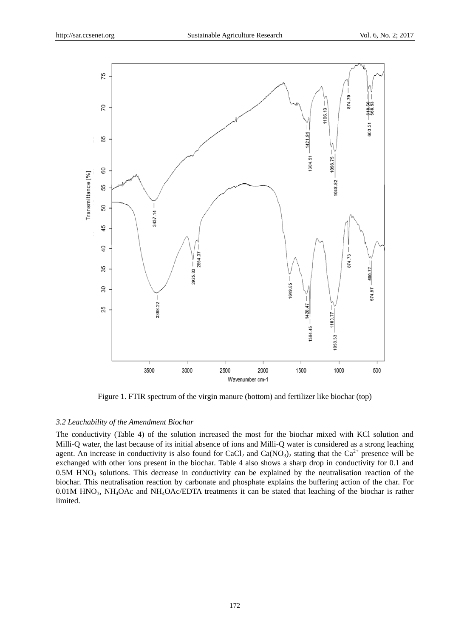

Figure 1. FTIR spectrum of the virgin manure (bottom) and fertilizer like biochar (top)

# *3.2 Leachability of the Amendment Biochar*

The conductivity (Table 4) of the solution increased the most for the biochar mixed with KCl solution and Milli-Q water, the last because of its initial absence of ions and Milli-Q water is considered as a strong leaching agent. An increase in conductivity is also found for CaCl<sub>2</sub> and Ca(NO<sub>3</sub>)<sub>2</sub> stating that the Ca<sup>2+</sup> presence will be exchanged with other ions present in the biochar. Table 4 also shows a sharp drop in conductivity for 0.1 and  $0.5M$  HNO<sub>3</sub> solutions. This decrease in conductivity can be explained by the neutralisation reaction of the biochar. This neutralisation reaction by carbonate and phosphate explains the buffering action of the char. For 0.01M HNO<sub>3</sub>, NH<sub>4</sub>OAc and NH<sub>4</sub>OAc/EDTA treatments it can be stated that leaching of the biochar is rather limited.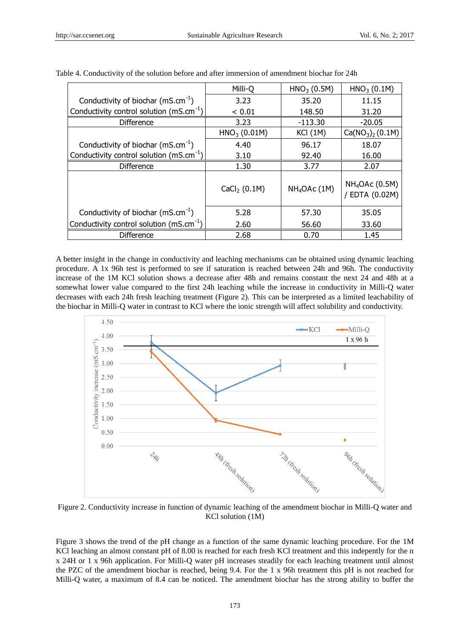|                                                      | Milli-Q                    | HNO <sub>3</sub> (0.5M)  | HNO <sub>3</sub> (0.1M)                      |
|------------------------------------------------------|----------------------------|--------------------------|----------------------------------------------|
| Conductivity of biochar $(mS.cm^{-1})$               | 3.23                       | 35.20                    | 11.15                                        |
| Conductivity control solution (mS.cm $^{-1}$ )       | < 0.01                     | 148.50                   | 31.20                                        |
| <b>Difference</b>                                    | 3.23                       | $-113.30$                | $-20.05$                                     |
|                                                      | HNO <sub>3</sub> (0.01M)   | <b>KCI (1M)</b>          | Ca(NO <sub>3</sub> ) <sub>2</sub> (0.1M)     |
| Conductivity of biochar $(mS.cm^{-1})$               | 4.40                       | 96.17                    | 18.07                                        |
| Conductivity control solution (mS.cm <sup>-1</sup> ) | 3.10                       | 92.40                    | 16.00                                        |
|                                                      |                            |                          |                                              |
| <b>Difference</b>                                    | 1.30                       | 3.77                     | 2.07                                         |
|                                                      | CaCl <sub>2</sub> $(0.1M)$ | NH <sub>4</sub> OAC (1M) | NH <sub>4</sub> OAC (0.5M)<br>/ EDTA (0.02M) |
| Conductivity of biochar $(mS.cm^{-1})$               | 5.28                       | 57.30                    | 35.05                                        |
| Conductivity control solution ( $mS.cm^{-1}$ )       | 2.60                       | 56.60                    | 33.60                                        |

A better insight in the change in conductivity and leaching mechanisms can be obtained using dynamic leaching procedure. A 1x 96h test is performed to see if saturation is reached between 24h and 96h. The conductivity increase of the 1M KCl solution shows a decrease after 48h and remains constant the next 24 and 48h at a somewhat lower value compared to the first 24h leaching while the increase in conductivity in Milli-Q water decreases with each 24h fresh leaching treatment (Figure 2). This can be interpreted as a limited leachability of the biochar in Milli-Q water in contrast to KCl where the ionic strength will affect solubility and conductivity.



Figure 2. Conductivity increase in function of dynamic leaching of the amendment biochar in Milli-Q water and KCl solution (1M)

Figure 3 shows the trend of the pH change as a function of the same dynamic leaching procedure. For the 1M KCl leaching an almost constant pH of 8.00 is reached for each fresh KCl treatment and this indepently for the n x 24H or 1 x 96h application. For Milli-Q water pH increases steadily for each leaching treatment until almost the PZC of the amendment biochar is reached, being 9.4. For the 1 x 96h treatment this pH is not reached for Milli-Q water, a maximum of 8.4 can be noticed. The amendment biochar has the strong ability to buffer the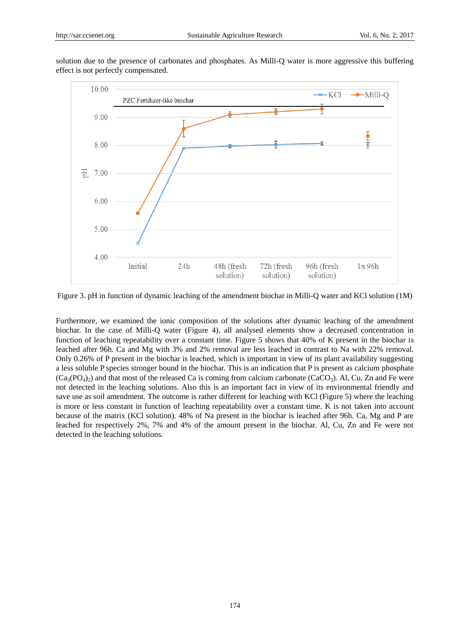

solution due to the presence of carbonates and phosphates. As Milli-Q water is more aggressive this buffering effect is not perfectly compensated.

Figure 3. pH in function of dynamic leaching of the amendment biochar in Milli-Q water and KCl solution (1M)

Furthermore, we examined the ionic composition of the solutions after dynamic leaching of the amendment biochar. In the case of Milli-Q water (Figure 4), all analysed elements show a decreased concentration in function of leaching repeatability over a constant time. Figure 5 shows that 40% of K present in the biochar is leached after 96h. Ca and Mg with 3% and 2% removal are less leached in contrast to Na with 22% removal. Only 0.26% of P present in the biochar is leached, which is important in view of its plant availability suggesting a less soluble P species stronger bound in the biochar. This is an indication that P is present as calcium phosphate  $(Ca_3(PO_4)_2)$  and that most of the released Ca is coming from calcium carbonate (CaCO<sub>3</sub>). Al, Cu, Zn and Fe were not detected in the leaching solutions. Also this is an important fact in view of its environmental friendly and save use as soil amendment. The outcome is rather different for leaching with KCl (Figure 5) where the leaching is more or less constant in function of leaching repeatability over a constant time. K is not taken into account because of the matrix (KCl solution). 48% of Na present in the biochar is leached after 96h. Ca, Mg and P are leached for respectively 2%, 7% and 4% of the amount present in the biochar. Al, Cu, Zn and Fe were not detected in the leaching solutions.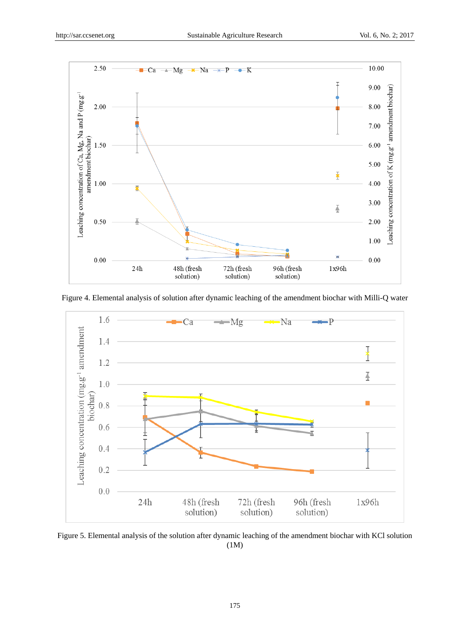

Figure 4. Elemental analysis of solution after dynamic leaching of the amendment biochar with Milli-Q water



Figure 5. Elemental analysis of the solution after dynamic leaching of the amendment biochar with KCl solution (1M)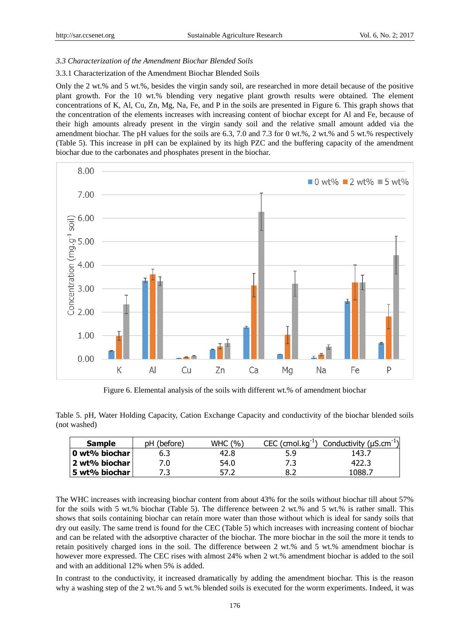#### *3.3 Characterization of the Amendment Biochar Blended Soils*

#### 3.3.1 Characterization of the Amendment Biochar Blended Soils

Only the 2 wt.% and 5 wt.%, besides the virgin sandy soil, are researched in more detail because of the positive plant growth. For the 10 wt.% blending very negative plant growth results were obtained. The element concentrations of K, Al, Cu, Zn, Mg, Na, Fe, and P in the soils are presented in Figure 6. This graph shows that the concentration of the elements increases with increasing content of biochar except for Al and Fe, because of their high amounts already present in the virgin sandy soil and the relative small amount added via the amendment biochar. The pH values for the soils are 6.3, 7.0 and 7.3 for 0 wt.%, 2 wt.% and 5 wt.% respectively (Table 5). This increase in pH can be explained by its high PZC and the buffering capacity of the amendment biochar due to the carbonates and phosphates present in the biochar.



Figure 6. Elemental analysis of the soils with different wt.% of amendment biochar

Table 5. pH, Water Holding Capacity, Cation Exchange Capacity and conductivity of the biochar blended soils (not washed)

| <b>Sample</b> | pH (before) | $(%^{0})^{1}$<br>WHC. |     | CEC (cmol.kg <sup>-1</sup> ) Conductivity ( $\mu$ S.cm <sup>-1</sup> ) |
|---------------|-------------|-----------------------|-----|------------------------------------------------------------------------|
| 0 wt% biochar | 6.3         | 42.8                  | 5.9 | 143.7                                                                  |
| 2 wt% biochar | 7.0         | 54.0                  | 7.3 | 422.3                                                                  |
| 5 wt% biochar |             |                       | 8.2 | 1088.7                                                                 |

The WHC increases with increasing biochar content from about 43% for the soils without biochar till about 57% for the soils with 5 wt.% biochar (Table 5). The difference between 2 wt.% and 5 wt.% is rather small. This shows that soils containing biochar can retain more water than those without which is ideal for sandy soils that dry out easily. The same trend is found for the CEC (Table 5) which increases with increasing content of biochar and can be related with the adsorptive character of the biochar. The more biochar in the soil the more it tends to retain positively charged ions in the soil. The difference between 2 wt.% and 5 wt.% amendment biochar is however more expressed. The CEC rises with almost 24% when 2 wt.% amendment biochar is added to the soil and with an additional 12% when 5% is added. **Sample** pH (before) WHC (%) CEC (cmol.kg<sup>-1</sup>) Conductivity (µS.cm<sup>-1</sup>)<br> **0 wt% biochar** 6.3 42.8 5.9 143.7<br> **2 wt% biochar** 7.0 54.0 7.3 422.3<br> **5 wt% biochar** 7.3 57.2 8.2 1088.7 13<br>
The WHC increases with increasing bio

In contrast to the conductivity, it increased dramatically by adding the amendment biochar. This is the reason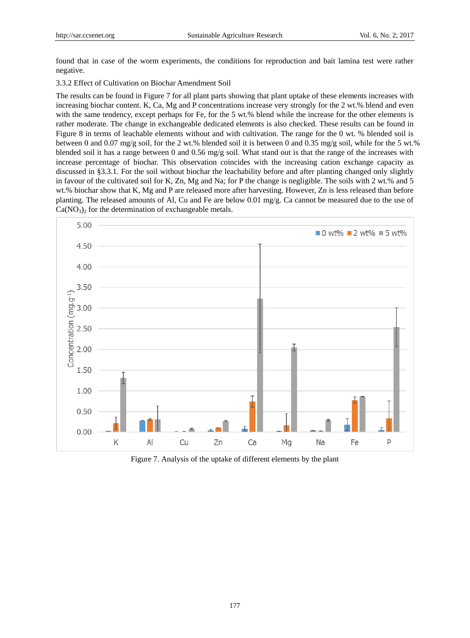found that in case of the worm experiments, the conditions for reproduction and bait lamina test were rather negative.

3.3.2 Effect of Cultivation on Biochar Amendment Soil

The results can be found in Figure 7 for all plant parts showing that plant uptake of these elements increases with increasing biochar content. K, Ca, Mg and P concentrations increase very strongly for the 2 wt.% blend and even with the same tendency, except perhaps for Fe, for the 5 wt.% blend while the increase for the other elements is rather moderate. The change in exchangeable dedicated elements is also checked. These results can be found in Figure 8 in terms of leachable elements without and with cultivation. The range for the 0 wt. % blended soil is between 0 and 0.07 mg/g soil, for the 2 wt.% blended soil it is between 0 and 0.35 mg/g soil, while for the 5 wt.% blended soil it has a range between 0 and 0.56 mg/g soil. What stand out is that the range of the increases with increase percentage of biochar. This observation coincides with the increasing cation exchange capacity as discussed in §3.3.1. For the soil without biochar the leachability before and after planting changed only slightly in favour of the cultivated soil for K, Zn, Mg and Na; for P the change is negligible. The soils with 2 wt.% and 5 wt.% biochar show that K, Mg and P are released more after harvesting. However, Zn is less released than before planting. The released amounts of Al, Cu and Fe are below 0.01 mg/g. Ca cannot be measured due to the use of  $Ca(NO<sub>3</sub>)<sub>2</sub>$  for the determination of exchangeable metals.



Figure 7. Analysis of the uptake of different elements by the plant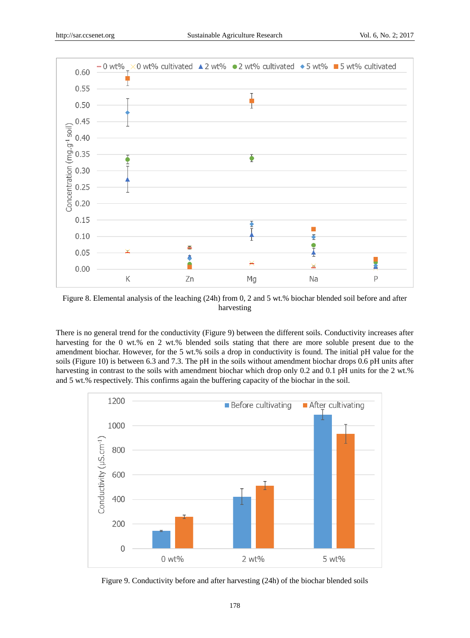

Figure 8. Elemental analysis of the leaching (24h) from 0, 2 and 5 wt.% biochar blended soil before and after harvesting

There is no general trend for the conductivity (Figure 9) between the different soils. Conductivity increases after harvesting for the 0 wt.% en 2 wt.% blended soils stating that there are more soluble present due to the amendment biochar. However, for the 5 wt.% soils a drop in conductivity is found. The initial pH value for the soils (Figure 10) is between 6.3 and 7.3. The pH in the soils without amendment biochar drops 0.6 pH units after harvesting in contrast to the soils with amendment biochar which drop only 0.2 and 0.1 pH units for the 2 wt.% and 5 wt.% respectively. This confirms again the buffering capacity of the biochar in the soil.



Figure 9. Conductivity before and after harvesting (24h) of the biochar blended soils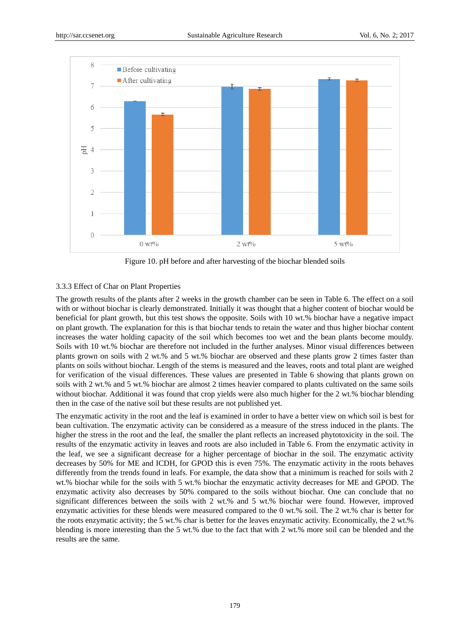

Figure 10. pH before and after harvesting of the biochar blended soils

# 3.3.3 Effect of Char on Plant Properties

The growth results of the plants after 2 weeks in the growth chamber can be seen in Table 6. The effect on a soil with or without biochar is clearly demonstrated. Initially it was thought that a higher content of biochar would be beneficial for plant growth, but this test shows the opposite. Soils with 10 wt.% biochar have a negative impact on plant growth. The explanation for this is that biochar tends to retain the water and thus higher biochar content increases the water holding capacity of the soil which becomes too wet and the bean plants become mouldy. Soils with 10 wt.% biochar are therefore not included in the further analyses. Minor visual differences between plants grown on soils with 2 wt.% and 5 wt.% biochar are observed and these plants grow 2 times faster than plants on soils without biochar. Length of the stems is measured and the leaves, roots and total plant are weighed for verification of the visual differences. These values are presented in Table 6 showing that plants grown on soils with 2 wt.% and 5 wt.% biochar are almost 2 times heavier compared to plants cultivated on the same soils without biochar. Additional it was found that crop yields were also much higher for the 2 wt.% biochar blending then in the case of the native soil but these results are not published yet.

The enzymatic activity in the root and the leaf is examined in order to have a better view on which soil is best for bean cultivation. The enzymatic activity can be considered as a measure of the stress induced in the plants. The higher the stress in the root and the leaf, the smaller the plant reflects an increased phytotoxicity in the soil. The results of the enzymatic activity in leaves and roots are also included in Table 6. From the enzymatic activity in the leaf, we see a significant decrease for a higher percentage of biochar in the soil. The enzymatic activity decreases by 50% for ME and ICDH, for GPOD this is even 75%. The enzymatic activity in the roots behaves differently from the trends found in leafs. For example, the data show that a minimum is reached for soils with 2 wt.% biochar while for the soils with 5 wt.% biochar the enzymatic activity decreases for ME and GPOD. The enzymatic activity also decreases by 50% compared to the soils without biochar. One can conclude that no significant differences between the soils with 2 wt.% and 5 wt.% biochar were found. However, improved enzymatic activities for these blends were measured compared to the 0 wt.% soil. The 2 wt.% char is better for the roots enzymatic activity; the 5 wt.% char is better for the leaves enzymatic activity. Economically, the 2 wt.% blending is more interesting than the 5 wt.% due to the fact that with 2 wt.% more soil can be blended and the results are the same.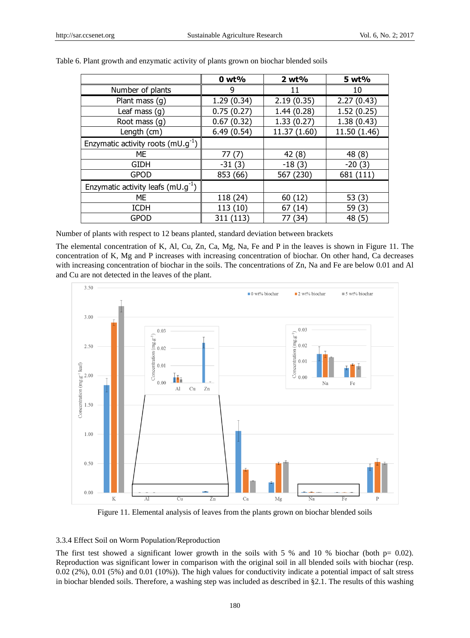|                                                | $0 wt\%$   | 2 wt%        | 5 wt%        |
|------------------------------------------------|------------|--------------|--------------|
| Number of plants                               | 9          | 11           | 10           |
| Plant mass (q)                                 | 1.29(0.34) | 2.19(0.35)   | 2.27(0.43)   |
| Leaf mass $(g)$                                | 0.75(0.27) | 1.44(0.28)   | 1.52(0.25)   |
| Root mass (g)                                  | 0.67(0.32) | 1.33(0.27)   | 1.38(0.43)   |
| Length (cm)                                    | 6.49(0.54) | 11.37 (1.60) | 11.50 (1.46) |
| Enzymatic activity roots $(mU.g^{-1})$         |            |              |              |
| ME                                             | (7)<br>77  | 42(8)        | 48(8)        |
| <b>GIDH</b>                                    | $-31(3)$   | $-18(3)$     | $-20(3)$     |
| <b>GPOD</b>                                    | 853 (66)   | 567 (230)    | 681 (111)    |
| Enzymatic activity leafs (mU.g <sup>-1</sup> ) |            |              |              |
| <b>ME</b>                                      | 118 (24)   | 60(12)       | 53 $(3)$     |
| <b>ICDH</b>                                    | 113(10)    | 67(14)       | 59 $(3)$     |
| <b>GPOD</b>                                    | 311 (113)  | 77 (34)      | 48 (5)       |

|  |  |  | Table 6. Plant growth and enzymatic activity of plants grown on biochar blended soils |
|--|--|--|---------------------------------------------------------------------------------------|
|  |  |  |                                                                                       |

Number of plants with respect to 12 beans planted, standard deviation between brackets

The elemental concentration of K, Al, Cu, Zn, Ca, Mg, Na, Fe and P in the leaves is shown in Figure 11. The concentration of K, Mg and P increases with increasing concentration of biochar. On other hand, Ca decreases with increasing concentration of biochar in the soils. The concentrations of Zn, Na and Fe are below 0.01 and Al and Cu are not detected in the leaves of the plant.



Figure 11. Elemental analysis of leaves from the plants grown on biochar blended soils

# 3.3.4 Effect Soil on Worm Population/Reproduction

The first test showed a significant lower growth in the soils with 5 % and 10 % biochar (both  $p= 0.02$ ). Reproduction was significant lower in comparison with the original soil in all blended soils with biochar (resp. 0.02 (2%), 0.01 (5%) and 0.01 (10%)). The high values for conductivity indicate a potential impact of salt stress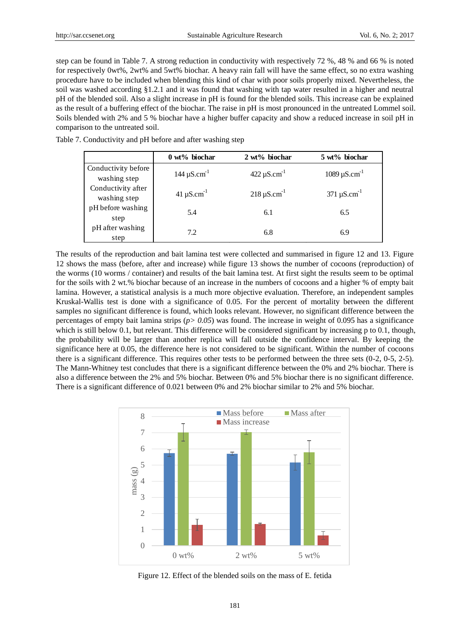step can be found in Table 7. A strong reduction in conductivity with respectively 72 %, 48 % and 66 % is noted for respectively 0wt%, 2wt% and 5wt% biochar. A heavy rain fall will have the same effect, so no extra washing procedure have to be included when blending this kind of char with poor soils properly mixed. Nevertheless, the soil was washed according §1.2.1 and it was found that washing with tap water resulted in a higher and neutral pH of the blended soil. Also a slight increase in pH is found for the blended soils. This increase can be explained as the result of a buffering effect of the biochar. The raise in pH is most pronounced in the untreated Lommel soil. Soils blended with 2% and 5 % biochar have a higher buffer capacity and show a reduced increase in soil pH in comparison to the untreated soil.

|                                     | $0 \text{ wt}$ % biochar     | $2 \text{ wt}$ % biochar     | 5 wt% biochar                 |
|-------------------------------------|------------------------------|------------------------------|-------------------------------|
| Conductivity before<br>washing step | 144 $\mu$ S.cm <sup>-1</sup> | 422 $\mu$ S.cm <sup>-1</sup> | 1089 $\mu$ S.cm <sup>-1</sup> |
| Conductivity after<br>washing step  | 41 $\mu$ S.cm <sup>-1</sup>  | 218 $\mu$ S.cm <sup>-1</sup> | 371 $\mu$ S.cm <sup>-1</sup>  |
| pH before washing<br>step           | 5.4                          | 6.1                          | 6.5                           |
| pH after washing<br>step            | 7.2                          | 6.8                          | 6.9                           |

Table 7. Conductivity and pH before and after washing step

The results of the reproduction and bait lamina test were collected and summarised in figure 12 and 13. Figure 12 shows the mass (before, after and increase) while figure 13 shows the number of cocoons (reproduction) of the worms (10 worms / container) and results of the bait lamina test. At first sight the results seem to be optimal for the soils with 2 wt.% biochar because of an increase in the numbers of cocoons and a higher % of empty bait lamina. However, a statistical analysis is a much more objective evaluation. Therefore, an independent samples Kruskal-Wallis test is done with a significance of 0.05. For the percent of mortality between the different samples no significant difference is found, which looks relevant. However, no significant difference between the percentages of empty bait lamina strips (*p> 0.05*) was found. The increase in weight of 0.095 has a significance which is still below 0.1, but relevant. This difference will be considered significant by increasing p to 0.1, though, the probability will be larger than another replica will fall outside the confidence interval. By keeping the significance here at 0.05, the difference here is not considered to be significant. Within the number of cocoons there is a significant difference. This requires other tests to be performed between the three sets (0-2, 0-5, 2-5). The Mann-Whitney test concludes that there is a significant difference between the 0% and 2% biochar. There is also a difference between the 2% and 5% biochar. Between 0% and 5% biochar there is no significant difference. There is a significant difference of 0.021 between 0% and 2% biochar similar to 2% and 5% biochar.



Figure 12. Effect of the blended soils on the mass of E. fetida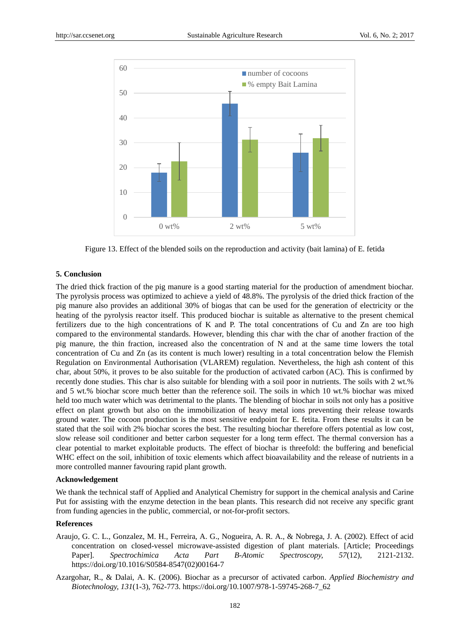

Figure 13. Effect of the blended soils on the reproduction and activity (bait lamina) of E. fetida

# **5. Conclusion**

The dried thick fraction of the pig manure is a good starting material for the production of amendment biochar. The pyrolysis process was optimized to achieve a yield of 48.8%. The pyrolysis of the dried thick fraction of the pig manure also provides an additional 30% of biogas that can be used for the generation of electricity or the heating of the pyrolysis reactor itself. This produced biochar is suitable as alternative to the present chemical fertilizers due to the high concentrations of K and P. The total concentrations of Cu and Zn are too high compared to the environmental standards. However, blending this char with the char of another fraction of the pig manure, the thin fraction, increased also the concentration of N and at the same time lowers the total concentration of Cu and Zn (as its content is much lower) resulting in a total concentration below the Flemish Regulation on Environmental Authorisation (VLAREM) regulation. Nevertheless, the high ash content of this char, about 50%, it proves to be also suitable for the production of activated carbon (AC). This is confirmed by recently done studies. This char is also suitable for blending with a soil poor in nutrients. The soils with 2 wt.% and 5 wt.% biochar score much better than the reference soil. The soils in which 10 wt.% biochar was mixed held too much water which was detrimental to the plants. The blending of biochar in soils not only has a positive effect on plant growth but also on the immobilization of heavy metal ions preventing their release towards ground water. The cocoon production is the most sensitive endpoint for E. fetita. From these results it can be stated that the soil with 2% biochar scores the best. The resulting biochar therefore offers potential as low cost, slow release soil conditioner and better carbon sequester for a long term effect. The thermal conversion has a clear potential to market exploitable products. The effect of biochar is threefold: the buffering and beneficial WHC effect on the soil, inhibition of toxic elements which affect bioavailability and the release of nutrients in a more controlled manner favouring rapid plant growth.

### **Acknowledgement**

We thank the technical staff of Applied and Analytical Chemistry for support in the chemical analysis and Carine Put for assisting with the enzyme detection in the bean plants. This research did not receive any specific grant from funding agencies in the public, commercial, or not-for-profit sectors.

# **References**

- Araujo, G. C. L., Gonzalez, M. H., Ferreira, A. G., Nogueira, A. R. A., & Nobrega, J. A. (2002). Effect of acid concentration on closed-vessel microwave-assisted digestion of plant materials. [Article; Proceedings Paper]. *Spectrochimica Acta Part B-Atomic Spectroscopy, 57*(12), 2121-2132. https://doi.org/10.1016/S0584-8547(02)00164-7
- Azargohar, R., & Dalai, A. K. (2006). Biochar as a precursor of activated carbon. *Applied Biochemistry and Biotechnology, 131*(1-3), 762-773. https://doi.org/10.1007/978-1-59745-268-7\_62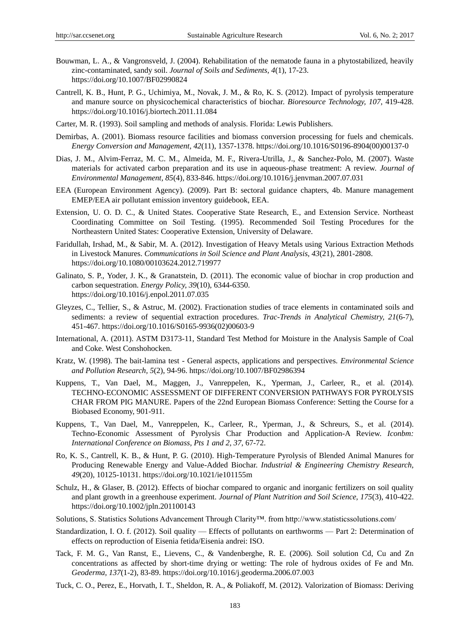- Bouwman, L. A., & Vangronsveld, J. (2004). Rehabilitation of the nematode fauna in a phytostabilized, heavily zinc-contaminated, sandy soil. *Journal of Soils and Sediments, 4*(1), 17-23. https://doi.org/10.1007/BF02990824
- Cantrell, K. B., Hunt, P. G., Uchimiya, M., Novak, J. M., & Ro, K. S. (2012). Impact of pyrolysis temperature and manure source on physicochemical characteristics of biochar. *Bioresource Technology, 107*, 419-428. https://doi.org/10.1016/j.biortech.2011.11.084
- Carter, M. R. (1993). Soil sampling and methods of analysis. Florida: Lewis Publishers.
- Demirbas, A. (2001). Biomass resource facilities and biomass conversion processing for fuels and chemicals. *Energy Conversion and Management, 42*(11), 1357-1378. https://doi.org/10.1016/S0196-8904(00)00137-0
- Dias, J. M., Alvim-Ferraz, M. C. M., Almeida, M. F., Rivera-Utrilla, J., & Sanchez-Polo, M. (2007). Waste materials for activated carbon preparation and its use in aqueous-phase treatment: A review. *Journal of Environmental Management, 85*(4), 833-846. https://doi.org/10.1016/j.jenvman.2007.07.031
- EEA (European Environment Agency). (2009). Part B: sectoral guidance chapters, 4b. Manure management EMEP/EEA air pollutant emission inventory guidebook, EEA.
- Extension, U. O. D. C., & United States. Cooperative State Research, E., and Extension Service. Northeast Coordinating Committee on Soil Testing. (1995). Recommended Soil Testing Procedures for the Northeastern United States: Cooperative Extension, University of Delaware.
- Faridullah, Irshad, M., & Sabir, M. A. (2012). Investigation of Heavy Metals using Various Extraction Methods in Livestock Manures. *Communications in Soil Science and Plant Analysis, 43*(21), 2801-2808. https://doi.org/10.1080/00103624.2012.719977
- Galinato, S. P., Yoder, J. K., & Granatstein, D. (2011). The economic value of biochar in crop production and carbon sequestration. *Energy Policy, 39*(10), 6344-6350. https://doi.org/10.1016/j.enpol.2011.07.035
- Gleyzes, C., Tellier, S., & Astruc, M. (2002). Fractionation studies of trace elements in contaminated soils and sediments: a review of sequential extraction procedures. *Trac-Trends in Analytical Chemistry, 21*(6-7), 451-467. https://doi.org/10.1016/S0165-9936(02)00603-9
- International, A. (2011). ASTM D3173-11, Standard Test Method for Moisture in the Analysis Sample of Coal and Coke. West Conshohocken.
- Kratz, W. (1998). The bait-lamina test General aspects, applications and perspectives. *Environmental Science and Pollution Research, 5*(2), 94-96. https://doi.org/10.1007/BF02986394
- Kuppens, T., Van Dael, M., Maggen, J., Vanreppelen, K., Yperman, J., Carleer, R., et al. (2014). TECHNO-ECONOMIC ASSESSMENT OF DIFFERENT CONVERSION PATHWAYS FOR PYROLYSIS CHAR FROM PIG MANURE. Papers of the 22nd European Biomass Conference: Setting the Course for a Biobased Economy, 901-911.
- Kuppens, T., Van Dael, M., Vanreppelen, K., Carleer, R., Yperman, J., & Schreurs, S., et al. (2014). Techno-Economic Assessment of Pyrolysis Char Production and Application-A Review. *Iconbm: International Conference on Biomass, Pts 1 and 2, 37*, 67-72.
- Ro, K. S., Cantrell, K. B., & Hunt, P. G. (2010). High-Temperature Pyrolysis of Blended Animal Manures for Producing Renewable Energy and Value-Added Biochar. *Industrial & Engineering Chemistry Research, 49*(20), 10125-10131. https://doi.org/10.1021/ie101155m
- Schulz, H., & Glaser, B. (2012). Effects of biochar compared to organic and inorganic fertilizers on soil quality and plant growth in a greenhouse experiment. *Journal of Plant Nutrition and Soil Science, 175*(3), 410-422. https://doi.org/10.1002/jpln.201100143
- Solutions, S. Statistics Solutions Advancement Through Clarity™. from http://www.statisticssolutions.com/
- Standardization, I. O. f. (2012). Soil quality Effects of pollutants on earthworms Part 2: Determination of effects on reproduction of Eisenia fetida/Eisenia andrei: ISO.
- Tack, F. M. G., Van Ranst, E., Lievens, C., & Vandenberghe, R. E. (2006). Soil solution Cd, Cu and Zn concentrations as affected by short-time drying or wetting: The role of hydrous oxides of Fe and Mn. *Geoderma, 137*(1-2), 83-89. https://doi.org/10.1016/j.geoderma.2006.07.003
- Tuck, C. O., Perez, E., Horvath, I. T., Sheldon, R. A., & Poliakoff, M. (2012). Valorization of Biomass: Deriving